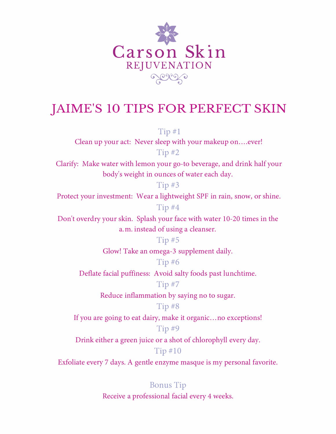

## JAIME'S 10 TIPS FOR PERFECT SKIN

Tip #l

Clean up your act: Never sleep with your makeup on....ever! Tip #2

Clarify: Make water with lemon your go-to beverage, and drink half your body's weight in ounces of water each day.

Tip #3

Protect your investment: Wear a lightweight SPF in rain, snow, or shine. Tip #4

Don't overdry your skin. Splash your face with water 10-20 times in the a.m. instead of using a cleanser.

Tip #5

Glow! Take an omega-3 supplement daily.

Tip #6

Deflate facial puffiness: Avoid salty foods past lunchtime.

Tip #7

Reduce inflammation by saying no to sugar.

## Tip #8

If you are going to eat dairy, make it organic... no exceptions!

## Tip #9

Drink either a green juice or a shot of chlorophyll every day.

## Tip #10

Exfoliate every 7 days. A gentle enzyme masque is my personal favorite.

Bonus Tip Receive a professional facial every 4 weeks.